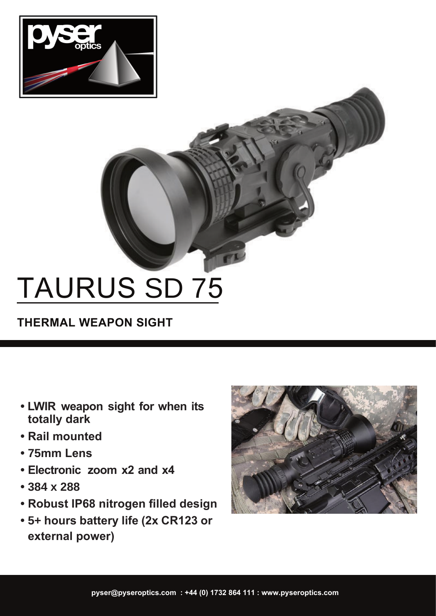

# TAURUS SD 75

**THERMAL WEAPON SIGHT**

- **LWIR weapon sight for when its totally dark**
- **Rail mounted**
- **• 75mm Lens**
- **Electronic zoom x2 and x4**
- **• 384 x 288**
- **Robust IP68 nitrogen filled design**
- **external power) • 5+ hours battery life (2x CR123 or**